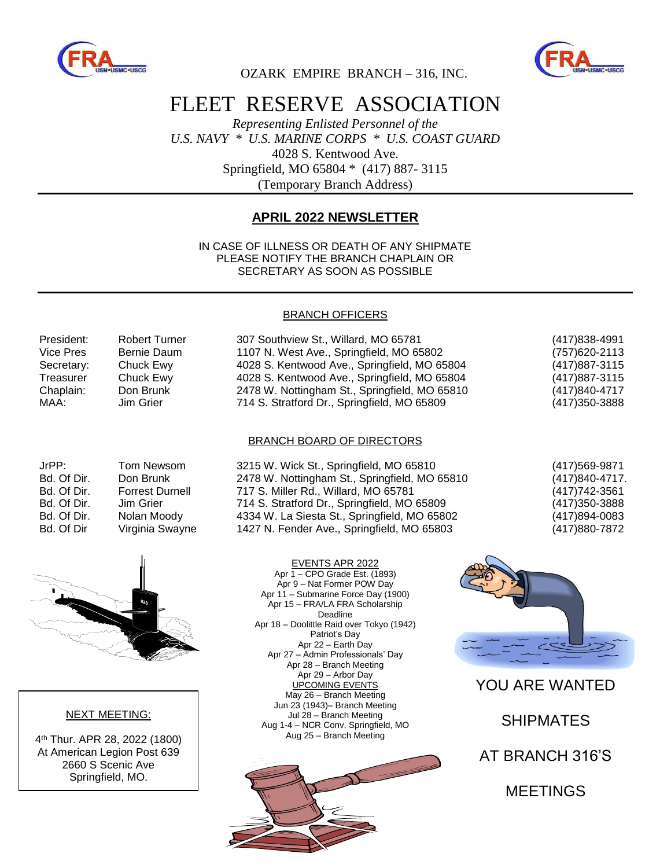



OZARK EMPIRE BRANCH – 316, INC.

# FLEET RESERVE ASSOCIATION

*Representing Enlisted Personnel of the U.S. NAVY \* U.S. MARINE CORPS \* U.S. COAST GUARD* 4028 S. Kentwood Ave. Springfield, MO 65804 \* (417) 887- 3115 (Temporary Branch Address)

### **APRIL 2022 NEWSLETTER**

IN CASE OF ILLNESS OR DEATH OF ANY SHIPMATE PLEASE NOTIFY THE BRANCH CHAPLAIN OR SECRETARY AS SOON AS POSSIBLE

#### BRANCH OFFICERS

| President: | <b>Robert Turner</b> | 307 Southview St., Willard, MO 65781          | (417) 838-4991 |
|------------|----------------------|-----------------------------------------------|----------------|
| Vice Pres  | Bernie Daum          | 1107 N. West Ave., Springfield, MO 65802      | (757) 620-2113 |
| Secretary: | Chuck Ewy            | 4028 S. Kentwood Ave., Springfield, MO 65804  | (417) 887-3115 |
| Treasurer  | Chuck Ewy            | 4028 S. Kentwood Ave., Springfield, MO 65804  | (417) 887-3115 |
| Chaplain:  | Don Brunk            | 2478 W. Nottingham St., Springfield, MO 65810 | (417)840-4717  |
| MAA:       | Jim Grier            | 714 S. Stratford Dr., Springfield, MO 65809   | (417) 350-3888 |

#### BRANCH BOARD OF DIRECTORS

| JrPP:       | <b>Tom Newson</b> |
|-------------|-------------------|
| Bd. Of Dir. | Don Brunk         |
| Bd. Of Dir. | Forrest Durn      |
| Bd. Of Dir. | Jim Grier         |
| Bd. Of Dir. | Nolan Moody       |
| Bd. Of Dir  | Virginia Sway     |
|             |                   |

m 3215 W. Wick St., Springfield, MO 65810 (417)569-9871 2478 W. Nottingham St., Springfield, MO 65810 (417)840-4717. Bd. Of Dir. Forrest Durnell 717 S. Miller Rd., Willard, MO 65781 (417)742-3561 714 S. Stratford Dr., Springfield, MO 65809 (417)350-3888 4334 W. La Siesta St., Springfield, MO 65802 (417)894-0083 Bd. Of Dir Virginia Swayne 1427 N. Fender Ave., Springfield, MO 65803 (417)880-7872



#### NEXT MEETING:

4 th Thur. APR 28, 2022 (1800) At American Legion Post 639 2660 S Scenic Ave Springfield, MO.

EVENTS APR 2022 Apr 1 – CPO Grade Est. (1893) Apr 9 – Nat Former POW Day Apr 11 – Submarine Force Day (1900) Apr 15 – FRA/LA FRA Scholarship Deadline Apr 18 – Doolittle Raid over Tokyo (1942) Patriot's Day Apr 22 – Earth Day Apr 27 – Admin Professionals' Day Apr 28 – Branch Meeting Apr 29 – Arbor Day UPCOMING EVENTS May 26 – Branch Meeting Jun 23 (1943)– Branch Meeting Jul 28 – Branch Meeting Aug 1-4 – NCR Conv. Springfield, MO Aug 25 – Branch Meeting





YOU ARE WANTED

SHIPMATES

AT BRANCH 316'S

MEETINGS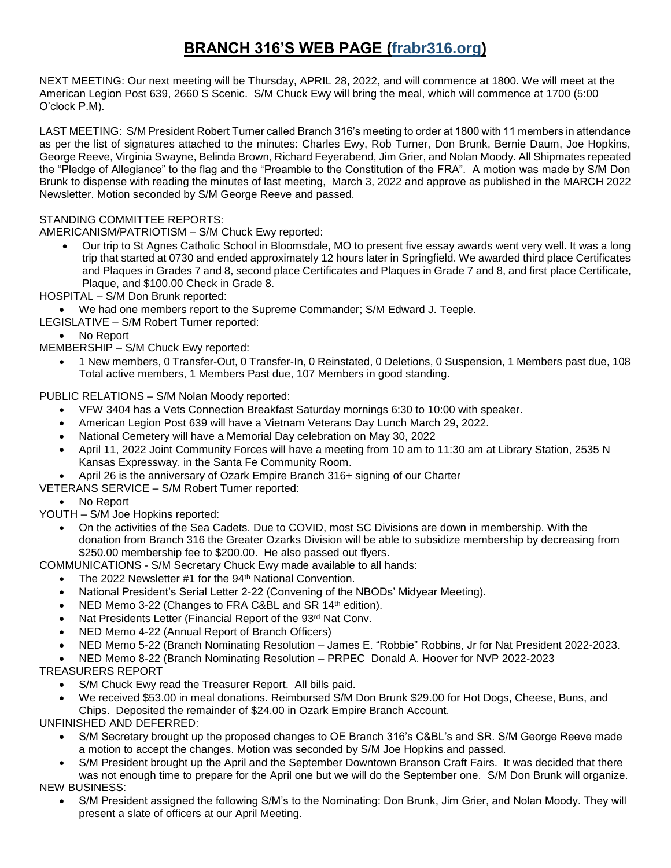## **BRANCH 316'S WEB PAGE (frabr316.org)**

NEXT MEETING: Our next meeting will be Thursday, APRIL 28, 2022, and will commence at 1800. We will meet at the American Legion Post 639, 2660 S Scenic. S/M Chuck Ewy will bring the meal, which will commence at 1700 (5:00 O'clock P.M).

LAST MEETING: S/M President Robert Turner called Branch 316's meeting to order at 1800 with 11 members in attendance as per the list of signatures attached to the minutes: Charles Ewy, Rob Turner, Don Brunk, Bernie Daum, Joe Hopkins, George Reeve, Virginia Swayne, Belinda Brown, Richard Feyerabend, Jim Grier, and Nolan Moody. All Shipmates repeated the "Pledge of Allegiance" to the flag and the "Preamble to the Constitution of the FRA". A motion was made by S/M Don Brunk to dispense with reading the minutes of last meeting, March 3, 2022 and approve as published in the MARCH 2022 Newsletter. Motion seconded by S/M George Reeve and passed.

#### STANDING COMMITTEE REPORTS:

AMERICANISM/PATRIOTISM – S/M Chuck Ewy reported:

- Our trip to St Agnes Catholic School in Bloomsdale, MO to present five essay awards went very well. It was a long trip that started at 0730 and ended approximately 12 hours later in Springfield. We awarded third place Certificates and Plaques in Grades 7 and 8, second place Certificates and Plaques in Grade 7 and 8, and first place Certificate, Plaque, and \$100.00 Check in Grade 8.
- HOSPITAL S/M Don Brunk reported:

We had one members report to the Supreme Commander; S/M Edward J. Teeple.

- LEGISLATIVE S/M Robert Turner reported:
	- No Report

MEMBERSHIP – S/M Chuck Ewy reported:

 1 New members, 0 Transfer-Out, 0 Transfer-In, 0 Reinstated, 0 Deletions, 0 Suspension, 1 Members past due, 108 Total active members, 1 Members Past due, 107 Members in good standing.

PUBLIC RELATIONS – S/M Nolan Moody reported:

- VFW 3404 has a Vets Connection Breakfast Saturday mornings 6:30 to 10:00 with speaker.
- American Legion Post 639 will have a Vietnam Veterans Day Lunch March 29, 2022.
- National Cemetery will have a Memorial Day celebration on May 30, 2022
- April 11, 2022 Joint Community Forces will have a meeting from 10 am to 11:30 am at Library Station, 2535 N Kansas Expressway. in the Santa Fe Community Room.
- April 26 is the anniversary of Ozark Empire Branch 316+ signing of our Charter
- VETERANS SERVICE S/M Robert Turner reported:

No Report

YOUTH – S/M Joe Hopkins reported:

 On the activities of the Sea Cadets. Due to COVID, most SC Divisions are down in membership. With the donation from Branch 316 the Greater Ozarks Division will be able to subsidize membership by decreasing from \$250.00 membership fee to \$200.00. He also passed out flyers.

COMMUNICATIONS - S/M Secretary Chuck Ewy made available to all hands:

- The 2022 Newsletter #1 for the 94<sup>th</sup> National Convention.
- National President's Serial Letter 2-22 (Convening of the NBODs' Midyear Meeting).
- NED Memo 3-22 (Changes to FRA C&BL and SR 14<sup>th</sup> edition).
- Nat Presidents Letter (Financial Report of the 93rd Nat Conv.
- NED Memo 4-22 (Annual Report of Branch Officers)
- NED Memo 5-22 (Branch Nominating Resolution James E. "Robbie" Robbins, Jr for Nat President 2022-2023.
- NED Memo 8-22 (Branch Nominating Resolution PRPEC Donald A. Hoover for NVP 2022-2023

TREASURERS REPORT

- S/M Chuck Ewy read the Treasurer Report. All bills paid.
- We received \$53.00 in meal donations. Reimbursed S/M Don Brunk \$29.00 for Hot Dogs, Cheese, Buns, and Chips. Deposited the remainder of \$24.00 in Ozark Empire Branch Account.

UNFINISHED AND DEFERRED:

- S/M Secretary brought up the proposed changes to OE Branch 316's C&BL's and SR. S/M George Reeve made a motion to accept the changes. Motion was seconded by S/M Joe Hopkins and passed.
- S/M President brought up the April and the September Downtown Branson Craft Fairs. It was decided that there was not enough time to prepare for the April one but we will do the September one. S/M Don Brunk will organize. NEW BUSINESS:
	- S/M President assigned the following S/M's to the Nominating: Don Brunk, Jim Grier, and Nolan Moody. They will present a slate of officers at our April Meeting.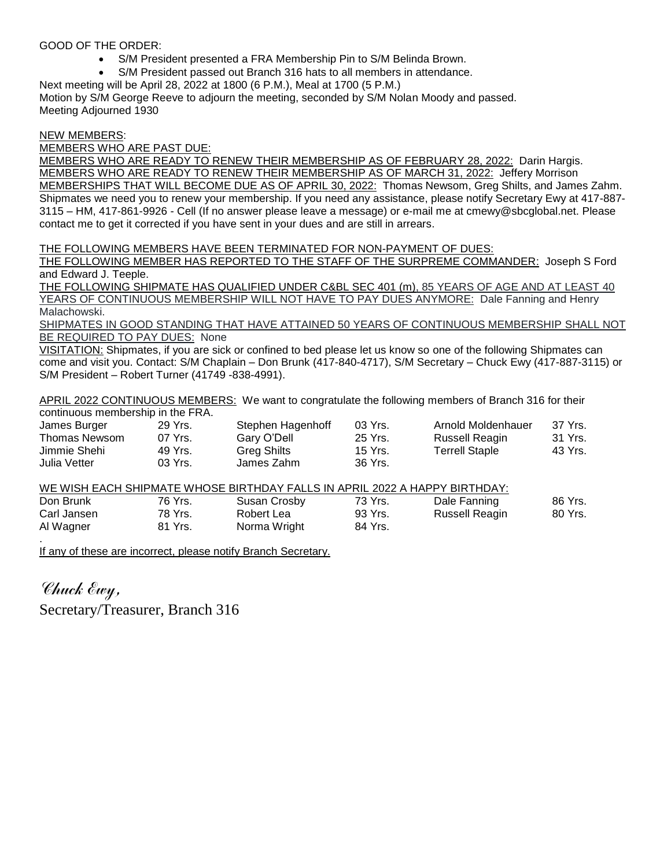#### GOOD OF THE ORDER:

- S/M President presented a FRA Membership Pin to S/M Belinda Brown.
- S/M President passed out Branch 316 hats to all members in attendance.

Next meeting will be April 28, 2022 at 1800 (6 P.M.), Meal at 1700 (5 P.M.) Motion by S/M George Reeve to adjourn the meeting, seconded by S/M Nolan Moody and passed. Meeting Adjourned 1930

#### NEW MEMBERS:

MEMBERS WHO ARE PAST DUE:

MEMBERS WHO ARE READY TO RENEW THEIR MEMBERSHIP AS OF FEBRUARY 28, 2022: Darin Hargis. MEMBERS WHO ARE READY TO RENEW THEIR MEMBERSHIP AS OF MARCH 31, 2022: Jeffery Morrison MEMBERSHIPS THAT WILL BECOME DUE AS OF APRIL 30, 2022: Thomas Newsom, Greg Shilts, and James Zahm. Shipmates we need you to renew your membership. If you need any assistance, please notify Secretary Ewy at 417-887- 3115 – HM, 417-861-9926 - Cell (If no answer please leave a message) or e-mail me at cmewy@sbcglobal.net. Please contact me to get it corrected if you have sent in your dues and are still in arrears.

THE FOLLOWING MEMBERS HAVE BEEN TERMINATED FOR NON-PAYMENT OF DUES:

THE FOLLOWING MEMBER HAS REPORTED TO THE STAFF OF THE SURPREME COMMANDER: Joseph S Ford and Edward J. Teeple.

THE FOLLOWING SHIPMATE HAS QUALIFIED UNDER C&BL SEC 401 (m), 85 YEARS OF AGE AND AT LEAST 40 YEARS OF CONTINUOUS MEMBERSHIP WILL NOT HAVE TO PAY DUES ANYMORE: Dale Fanning and Henry Malachowski.

SHIPMATES IN GOOD STANDING THAT HAVE ATTAINED 50 YEARS OF CONTINUOUS MEMBERSHIP SHALL NOT BE REQUIRED TO PAY DUES: None

VISITATION: Shipmates, if you are sick or confined to bed please let us know so one of the following Shipmates can come and visit you. Contact: S/M Chaplain – Don Brunk (417-840-4717), S/M Secretary – Chuck Ewy (417-887-3115) or S/M President – Robert Turner (41749 -838-4991).

APRIL 2022 CONTINUOUS MEMBERS: We want to congratulate the following members of Branch 316 for their continuous membership in the FRA.

| CONTROLOGISTICITIOUS IN THE RIC TINATE |         |                   |           |                    |         |
|----------------------------------------|---------|-------------------|-----------|--------------------|---------|
| James Burger                           | 29 Yrs. | Stephen Hagenhoff | $03$ Yrs. | Arnold Moldenhauer | 37 Yrs. |
| Thomas Newsom                          | 07 Yrs. | Gary O'Dell       | 25 Yrs.   | Russell Reagin     | 31 Yrs. |
| Jimmie Shehi                           | 49 Yrs. | Greg Shilts       | 15 Yrs.   | Terrell Staple     | 43 Yrs. |
| Julia Vetter                           | 03 Yrs. | James Zahm        | 36 Yrs.   |                    |         |

WE WISH EACH SHIPMATE WHOSE BIRTHDAY FALLS IN APRIL 2022 A HAPPY BIRTHDAY:

| Don Brunk   | 76 Yrs. | Susan Crosby | 73 Yrs. | Dale Fanning   | 86 Yrs. |
|-------------|---------|--------------|---------|----------------|---------|
| Carl Jansen | 78 Yrs. | Robert Lea   | 93 Yrs. | Russell Reagin | 80 Yrs. |
| Al Wagner   | 81 Yrs. | Norma Wright | 84 Yrs. |                |         |
|             |         |              |         |                |         |

If any of these are incorrect, please notify Branch Secretary.

Chuck Ewy, Secretary/Treasurer, Branch 316